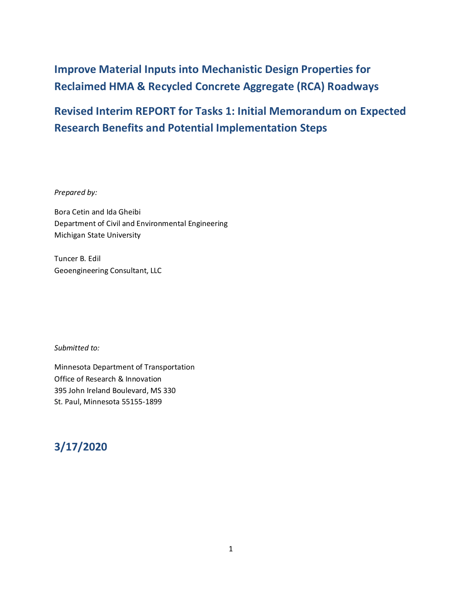# **Improve Material Inputs into Mechanistic Design Properties for Reclaimed HMA & Recycled Concrete Aggregate (RCA) Roadways**

# **Revised Interim REPORT for Tasks 1: Initial Memorandum on Expected Research Benefits and Potential Implementation Steps**

*Prepared by:*

Bora Cetin and Ida Gheibi Department of Civil and Environmental Engineering Michigan State University

Tuncer B. Edil Geoengineering Consultant, LLC

*Submitted to:*

Minnesota Department of Transportation Office of Research & Innovation 395 John Ireland Boulevard, MS 330 St. Paul, Minnesota 55155-1899

## **3/17/2020**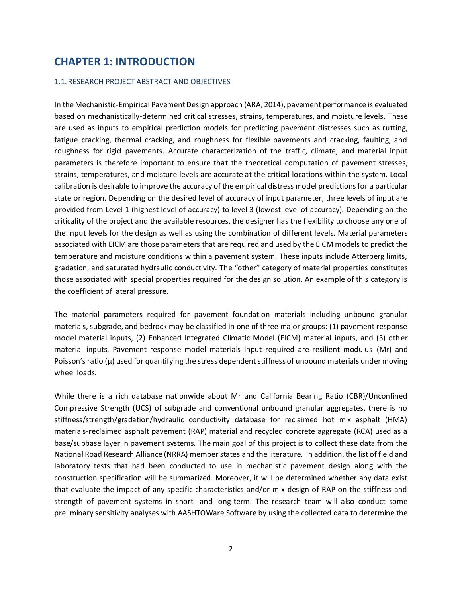## **CHAPTER 1: INTRODUCTION**

#### 1.1.RESEARCH PROJECT ABSTRACT AND OBJECTIVES

In the Mechanistic-Empirical Pavement Design approach (ARA, 2014), pavement performance is evaluated based on mechanistically-determined critical stresses, strains, temperatures, and moisture levels. These are used as inputs to empirical prediction models for predicting pavement distresses such as rutting, fatigue cracking, thermal cracking, and roughness for flexible pavements and cracking, faulting, and roughness for rigid pavements. Accurate characterization of the traffic, climate, and material input parameters is therefore important to ensure that the theoretical computation of pavement stresses, strains, temperatures, and moisture levels are accurate at the critical locations within the system. Local calibration is desirable to improve the accuracy of the empirical distress model predictions for a particular state or region. Depending on the desired level of accuracy of input parameter, three levels of input are provided from Level 1 (highest level of accuracy) to level 3 (lowest level of accuracy). Depending on the criticality of the project and the available resources, the designer has the flexibility to choose any one of the input levels for the design as well as using the combination of different levels. Material parameters associated with EICM are those parameters that are required and used by the EICM models to predict the temperature and moisture conditions within a pavement system. These inputs include Atterberg limits, gradation, and saturated hydraulic conductivity. The "other" category of material properties constitutes those associated with special properties required for the design solution. An example of this category is the coefficient of lateral pressure.

The material parameters required for pavement foundation materials including unbound granular materials, subgrade, and bedrock may be classified in one of three major groups: (1) pavement response model material inputs, (2) Enhanced Integrated Climatic Model (EICM) material inputs, and (3) other material inputs. Pavement response model materials input required are resilient modulus (Mr) and Poisson's ratio  $(\mu)$  used for quantifying the stress dependent stiffness of unbound materials under moving wheel loads.

While there is a rich database nationwide about Mr and California Bearing Ratio (CBR)/Unconfined Compressive Strength (UCS) of subgrade and conventional unbound granular aggregates, there is no stiffness/strength/gradation/hydraulic conductivity database for reclaimed hot mix asphalt (HMA) materials-reclaimed asphalt pavement (RAP) material and recycled concrete aggregate (RCA) used as a base/subbase layer in pavement systems. The main goal of this project is to collect these data from the National Road Research Alliance (NRRA) member states and the literature. In addition, the list of field and laboratory tests that had been conducted to use in mechanistic pavement design along with the construction specification will be summarized. Moreover, it will be determined whether any data exist that evaluate the impact of any specific characteristics and/or mix design of RAP on the stiffness and strength of pavement systems in short- and long-term. The research team will also conduct some preliminary sensitivity analyses with AASHTOWare Software by using the collected data to determine the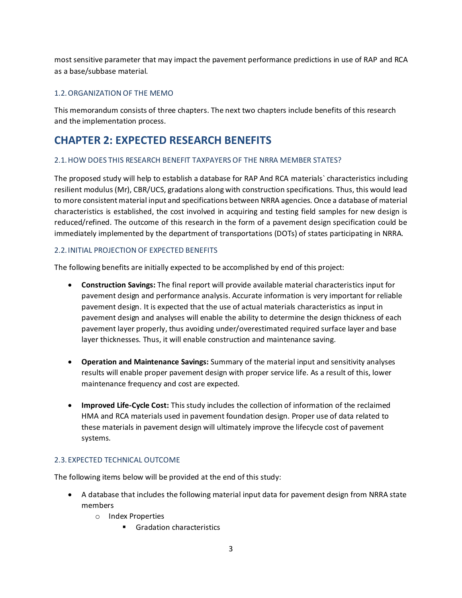most sensitive parameter that may impact the pavement performance predictions in use of RAP and RCA as a base/subbase material.

#### 1.2.ORGANIZATION OF THE MEMO

This memorandum consists of three chapters. The next two chapters include benefits of this research and the implementation process.

## **CHAPTER 2: EXPECTED RESEARCH BENEFITS**

#### 2.1.HOW DOES THIS RESEARCH BENEFIT TAXPAYERS OF THE NRRA MEMBER STATES?

The proposed study will help to establish a database for RAP And RCA materials` characteristics including resilient modulus (Mr), CBR/UCS, gradations along with construction specifications. Thus, this would lead to more consistent material input and specifications between NRRA agencies. Once a database of material characteristics is established, the cost involved in acquiring and testing field samples for new design is reduced/refined. The outcome of this research in the form of a pavement design specification could be immediately implemented by the department of transportations (DOTs) of states participating in NRRA.

#### 2.2.INITIAL PROJECTION OF EXPECTED BENEFITS

The following benefits are initially expected to be accomplished by end of this project:

- **Construction Savings:** The final report will provide available material characteristics input for pavement design and performance analysis. Accurate information is very important for reliable pavement design. It is expected that the use of actual materials characteristics as input in pavement design and analyses will enable the ability to determine the design thickness of each pavement layer properly, thus avoiding under/overestimated required surface layer and base layer thicknesses. Thus, it will enable construction and maintenance saving.
- **Operation and Maintenance Savings:** Summary of the material input and sensitivity analyses results will enable proper pavement design with proper service life. As a result of this, lower maintenance frequency and cost are expected.
- **Improved Life-Cycle Cost:** This study includes the collection of information of the reclaimed HMA and RCA materials used in pavement foundation design. Proper use of data related to these materials in pavement design will ultimately improve the lifecycle cost of pavement systems.

#### 2.3.EXPECTED TECHNICAL OUTCOME

The following items below will be provided at the end of this study:

- A database that includes the following material input data for pavement design from NRRA state members
	- o Index Properties
		- Gradation characteristics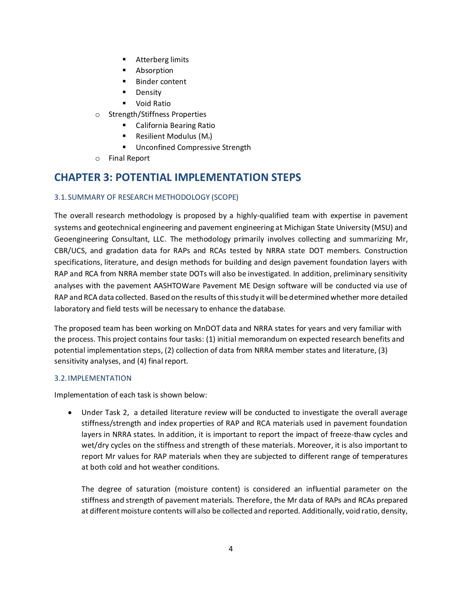- Atterberg limits
- Absorption
- Binder content
- Density
- Void Ratio
- o Strength/Stiffness Properties
	- California Bearing Ratio
	- **•** Resilient Modulus  $(M_r)$
	- Unconfined Compressive Strength
- o Final Report

## **CHAPTER 3: POTENTIAL IMPLEMENTATION STEPS**

#### 3.1.SUMMARY OF RESEARCH METHODOLOGY (SCOPE)

The overall research methodology is proposed by a highly-qualified team with expertise in pavement systems and geotechnical engineering and pavement engineering at Michigan State University (MSU) and Geoengineering Consultant, LLC. The methodology primarily involves collecting and summarizing Mr, CBR/UCS, and gradation data for RAPs and RCAs tested by NRRA state DOT members. Construction specifications, literature, and design methods for building and design pavement foundation layers with RAP and RCA from NRRA member state DOTs will also be investigated. In addition, preliminary sensitivity analyses with the pavement AASHTOWare Pavement ME Design software will be conducted via use of RAP and RCA data collected. Based on the results of this study it will be determined whether more detailed laboratory and field tests will be necessary to enhance the database.

The proposed team has been working on MnDOT data and NRRA states for years and very familiar with the process. This project contains four tasks: (1) initial memorandum on expected research benefits and potential implementation steps, (2) collection of data from NRRA member states and literature, (3) sensitivity analyses, and (4) final report.

#### 3.2.IMPLEMENTATION

Implementation of each task is shown below:

• Under Task 2, a detailed literature review will be conducted to investigate the overall average stiffness/strength and index properties of RAP and RCA materials used in pavement foundation layers in NRRA states. In addition, it is important to report the impact of freeze-thaw cycles and wet/dry cycles on the stiffness and strength of these materials. Moreover, it is also important to report Mr values for RAP materials when they are subjected to different range of temperatures at both cold and hot weather conditions.

The degree of saturation (moisture content) is considered an influential parameter on the stiffness and strength of pavement materials. Therefore, the Mr data of RAPs and RCAs prepared at different moisture contents will also be collected and reported. Additionally, void ratio, density,